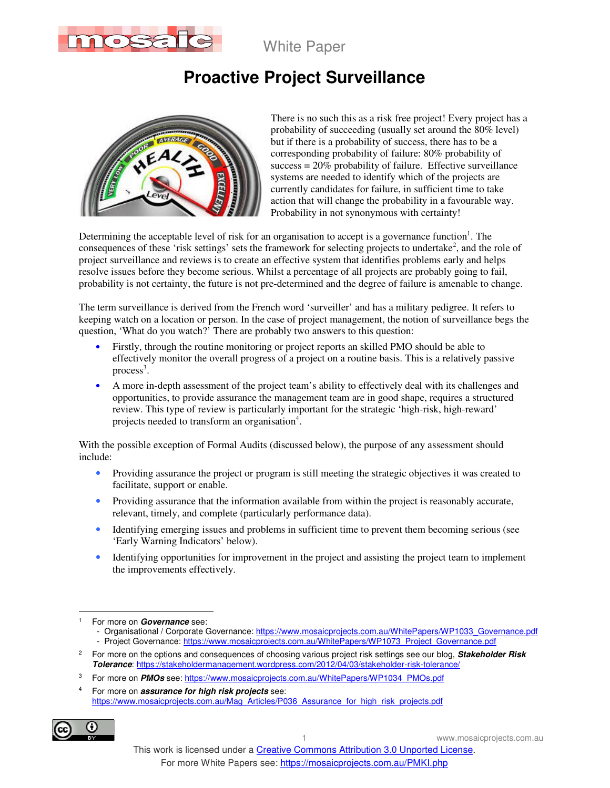

# **Proactive Project Surveillance**



There is no such this as a risk free project! Every project has a probability of succeeding (usually set around the 80% level) but if there is a probability of success, there has to be a corresponding probability of failure: 80% probability of  $success = 20\%$  probability of failure. Effective surveillance systems are needed to identify which of the projects are currently candidates for failure, in sufficient time to take action that will change the probability in a favourable way. Probability in not synonymous with certainty!

Determining the acceptable level of risk for an organisation to accept is a governance function<sup>1</sup>. The consequences of these 'risk settings' sets the framework for selecting projects to undertake<sup>2</sup>, and the role of project surveillance and reviews is to create an effective system that identifies problems early and helps resolve issues before they become serious. Whilst a percentage of all projects are probably going to fail, probability is not certainty, the future is not pre-determined and the degree of failure is amenable to change.

The term surveillance is derived from the French word 'surveiller' and has a military pedigree. It refers to keeping watch on a location or person. In the case of project management, the notion of surveillance begs the question, 'What do you watch?' There are probably two answers to this question:

- Firstly, through the routine monitoring or project reports an skilled PMO should be able to effectively monitor the overall progress of a project on a routine basis. This is a relatively passive process<sup>3</sup>.
- A more in-depth assessment of the project team's ability to effectively deal with its challenges and opportunities, to provide assurance the management team are in good shape, requires a structured review. This type of review is particularly important for the strategic 'high-risk, high-reward' projects needed to transform an organisation<sup>4</sup>.

With the possible exception of Formal Audits (discussed below), the purpose of any assessment should include:

- Providing assurance the project or program is still meeting the strategic objectives it was created to facilitate, support or enable.
- Providing assurance that the information available from within the project is reasonably accurate, relevant, timely, and complete (particularly performance data).
- Identifying emerging issues and problems in sufficient time to prevent them becoming serious (see 'Early Warning Indicators' below).
- Identifying opportunities for improvement in the project and assisting the project team to implement the improvements effectively.

<sup>4</sup> For more on **assurance for high risk projects** see: https://www.mosaicprojects.com.au/Mag\_Articles/P036\_Assurance\_for\_high\_risk\_projects.pdf



 $\ddot{\phantom{a}}$ 1 For more on **Governance** see:

<sup>-</sup> Organisational / Corporate Governance: https://www.mosaicprojects.com.au/WhitePapers/WP1033\_Governance.pdf - Project Governance: https://www.mosaicprojects.com.au/WhitePapers/WP1073\_Project\_Governance.pdf

<sup>2</sup> For more on the options and consequences of choosing various project risk settings see our blog, **Stakeholder Risk Tolerance**: https://stakeholdermanagement.wordpress.com/2012/04/03/stakeholder-risk-tolerance/

<sup>3</sup> For more on **PMOs** see: https://www.mosaicprojects.com.au/WhitePapers/WP1034\_PMOs.pdf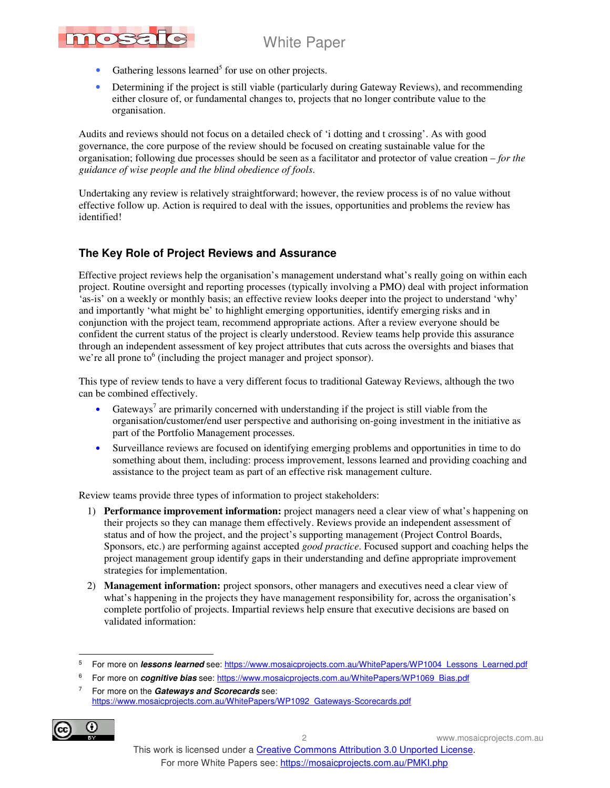

- Gathering lessons learned<sup>5</sup> for use on other projects.
- Determining if the project is still viable (particularly during Gateway Reviews), and recommending either closure of, or fundamental changes to, projects that no longer contribute value to the organisation.

Audits and reviews should not focus on a detailed check of 'i dotting and t crossing'. As with good governance, the core purpose of the review should be focused on creating sustainable value for the organisation; following due processes should be seen as a facilitator and protector of value creation – *for the guidance of wise people and the blind obedience of fools*.

Undertaking any review is relatively straightforward; however, the review process is of no value without effective follow up. Action is required to deal with the issues, opportunities and problems the review has identified!

### **The Key Role of Project Reviews and Assurance**

Effective project reviews help the organisation's management understand what's really going on within each project. Routine oversight and reporting processes (typically involving a PMO) deal with project information 'as-is' on a weekly or monthly basis; an effective review looks deeper into the project to understand 'why' and importantly 'what might be' to highlight emerging opportunities, identify emerging risks and in conjunction with the project team, recommend appropriate actions. After a review everyone should be confident the current status of the project is clearly understood. Review teams help provide this assurance through an independent assessment of key project attributes that cuts across the oversights and biases that we're all prone to<sup>6</sup> (including the project manager and project sponsor).

This type of review tends to have a very different focus to traditional Gateway Reviews, although the two can be combined effectively.

- Gateways<sup>7</sup> are primarily concerned with understanding if the project is still viable from the organisation/customer/end user perspective and authorising on-going investment in the initiative as part of the Portfolio Management processes.
- Surveillance reviews are focused on identifying emerging problems and opportunities in time to do something about them, including: process improvement, lessons learned and providing coaching and assistance to the project team as part of an effective risk management culture.

Review teams provide three types of information to project stakeholders:

- 1) **Performance improvement information:** project managers need a clear view of what's happening on their projects so they can manage them effectively. Reviews provide an independent assessment of status and of how the project, and the project's supporting management (Project Control Boards, Sponsors, etc.) are performing against accepted *good practice*. Focused support and coaching helps the project management group identify gaps in their understanding and define appropriate improvement strategies for implementation.
- 2) **Management information:** project sponsors, other managers and executives need a clear view of what's happening in the projects they have management responsibility for, across the organisation's complete portfolio of projects. Impartial reviews help ensure that executive decisions are based on validated information:

<sup>7</sup> For more on the **Gateways and Scorecards** see: https://www.mosaicprojects.com.au/WhitePapers/WP1092\_Gateways-Scorecards.pdf



 $\ddot{\phantom{a}}$ 5 For more on **lessons learned** see: https://www.mosaicprojects.com.au/WhitePapers/WP1004\_Lessons\_Learned.pdf

<sup>6</sup> For more on **cognitive bias** see: https://www.mosaicprojects.com.au/WhitePapers/WP1069\_Bias.pdf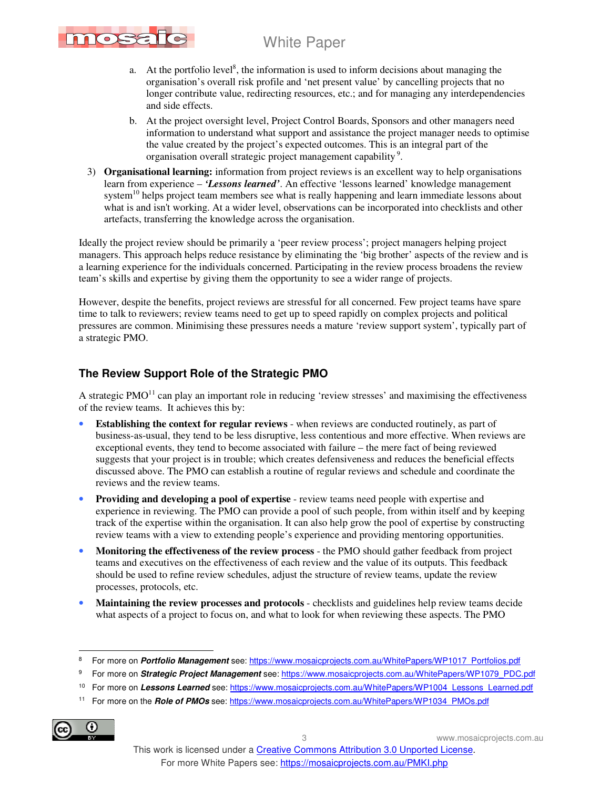

- a. At the portfolio level<sup>8</sup>, the information is used to inform decisions about managing the organisation's overall risk profile and 'net present value' by cancelling projects that no longer contribute value, redirecting resources, etc.; and for managing any interdependencies and side effects.
- b. At the project oversight level, Project Control Boards, Sponsors and other managers need information to understand what support and assistance the project manager needs to optimise the value created by the project's expected outcomes. This is an integral part of the organisation overall strategic project management capability<sup>9</sup>.
- 3) **Organisational learning:** information from project reviews is an excellent way to help organisations learn from experience – *'Lessons learned'*. An effective 'lessons learned' knowledge management system<sup>10</sup> helps project team members see what is really happening and learn immediate lessons about what is and isn't working. At a wider level, observations can be incorporated into checklists and other artefacts, transferring the knowledge across the organisation.

Ideally the project review should be primarily a 'peer review process'; project managers helping project managers. This approach helps reduce resistance by eliminating the 'big brother' aspects of the review and is a learning experience for the individuals concerned. Participating in the review process broadens the review team's skills and expertise by giving them the opportunity to see a wider range of projects.

However, despite the benefits, project reviews are stressful for all concerned. Few project teams have spare time to talk to reviewers; review teams need to get up to speed rapidly on complex projects and political pressures are common. Minimising these pressures needs a mature 'review support system', typically part of a strategic PMO.

### **The Review Support Role of the Strategic PMO**

A strategic PMO $11$  can play an important role in reducing 'review stresses' and maximising the effectiveness of the review teams. It achieves this by:

- **Establishing the context for regular reviews** when reviews are conducted routinely, as part of business-as-usual, they tend to be less disruptive, less contentious and more effective. When reviews are exceptional events, they tend to become associated with failure – the mere fact of being reviewed suggests that your project is in trouble; which creates defensiveness and reduces the beneficial effects discussed above. The PMO can establish a routine of regular reviews and schedule and coordinate the reviews and the review teams.
- **Providing and developing a pool of expertise** review teams need people with expertise and experience in reviewing. The PMO can provide a pool of such people, from within itself and by keeping track of the expertise within the organisation. It can also help grow the pool of expertise by constructing review teams with a view to extending people's experience and providing mentoring opportunities.
- **Monitoring the effectiveness of the review process** the PMO should gather feedback from project teams and executives on the effectiveness of each review and the value of its outputs. This feedback should be used to refine review schedules, adjust the structure of review teams, update the review processes, protocols, etc.
- **Maintaining the review processes and protocols** checklists and guidelines help review teams decide what aspects of a project to focus on, and what to look for when reviewing these aspects. The PMO

11 For more on the **Role of PMOs** see: https://www.mosaicprojects.com.au/WhitePapers/WP1034\_PMOs.pdf



 $\ddot{\phantom{a}}$ 8 For more on *Portfolio Management* see: https://www.mosaicprojects.com.au/WhitePapers/WP1017\_Portfolios.pdf

<sup>&</sup>lt;sup>9</sup> For more on *Strategic Project Management* see: https://www.mosaicprojects.com.au/WhitePapers/WP1079\_PDC.pdf

<sup>&</sup>lt;sup>10</sup> For more on Lessons Learned see: https://www.mosaicprojects.com.au/WhitePapers/WP1004\_Lessons\_Learned.pdf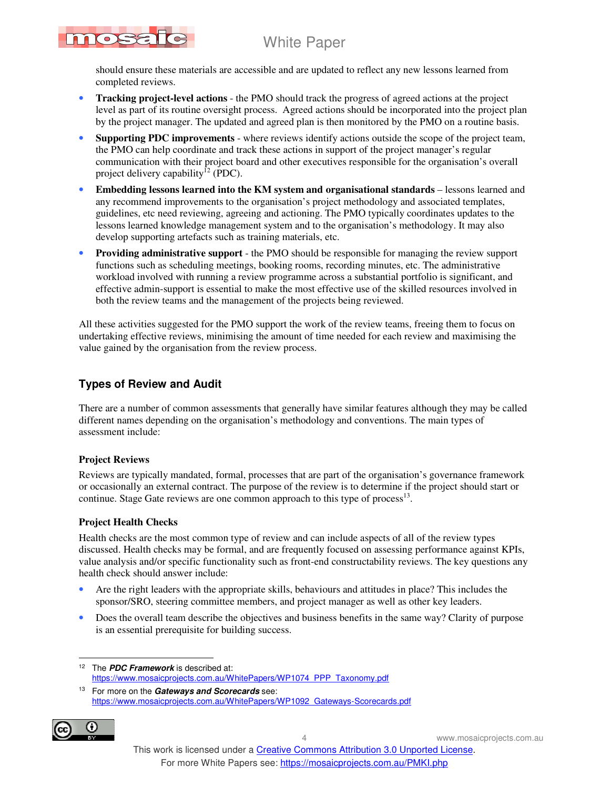should ensure these materials are accessible and are updated to reflect any new lessons learned from completed reviews.

- **Tracking project-level actions** the PMO should track the progress of agreed actions at the project level as part of its routine oversight process. Agreed actions should be incorporated into the project plan by the project manager. The updated and agreed plan is then monitored by the PMO on a routine basis.
- **Supporting PDC improvements** where reviews identify actions outside the scope of the project team, the PMO can help coordinate and track these actions in support of the project manager's regular communication with their project board and other executives responsible for the organisation's overall project delivery capability<sup>12</sup> (PDC).
- **Embedding lessons learned into the KM system and organisational standards** lessons learned and any recommend improvements to the organisation's project methodology and associated templates, guidelines, etc need reviewing, agreeing and actioning. The PMO typically coordinates updates to the lessons learned knowledge management system and to the organisation's methodology. It may also develop supporting artefacts such as training materials, etc.
- **Providing administrative support** the PMO should be responsible for managing the review support functions such as scheduling meetings, booking rooms, recording minutes, etc. The administrative workload involved with running a review programme across a substantial portfolio is significant, and effective admin-support is essential to make the most effective use of the skilled resources involved in both the review teams and the management of the projects being reviewed.

All these activities suggested for the PMO support the work of the review teams, freeing them to focus on undertaking effective reviews, minimising the amount of time needed for each review and maximising the value gained by the organisation from the review process.

### **Types of Review and Audit**

There are a number of common assessments that generally have similar features although they may be called different names depending on the organisation's methodology and conventions. The main types of assessment include:

### **Project Reviews**

TOSE

Reviews are typically mandated, formal, processes that are part of the organisation's governance framework or occasionally an external contract. The purpose of the review is to determine if the project should start or continue. Stage Gate reviews are one common approach to this type of process $^{13}$ .

### **Project Health Checks**

Health checks are the most common type of review and can include aspects of all of the review types discussed. Health checks may be formal, and are frequently focused on assessing performance against KPIs, value analysis and/or specific functionality such as front-end constructability reviews. The key questions any health check should answer include:

- Are the right leaders with the appropriate skills, behaviours and attitudes in place? This includes the sponsor/SRO, steering committee members, and project manager as well as other key leaders.
- Does the overall team describe the objectives and business benefits in the same way? Clarity of purpose is an essential prerequisite for building success.

<sup>13</sup> For more on the **Gateways and Scorecards** see: https://www.mosaicprojects.com.au/WhitePapers/WP1092\_Gateways-Scorecards.pdf



 $\ddot{\phantom{a}}$ <sup>12</sup> The **PDC Framework** is described at: https://www.mosaicprojects.com.au/WhitePapers/WP1074\_PPP\_Taxonomy.pdf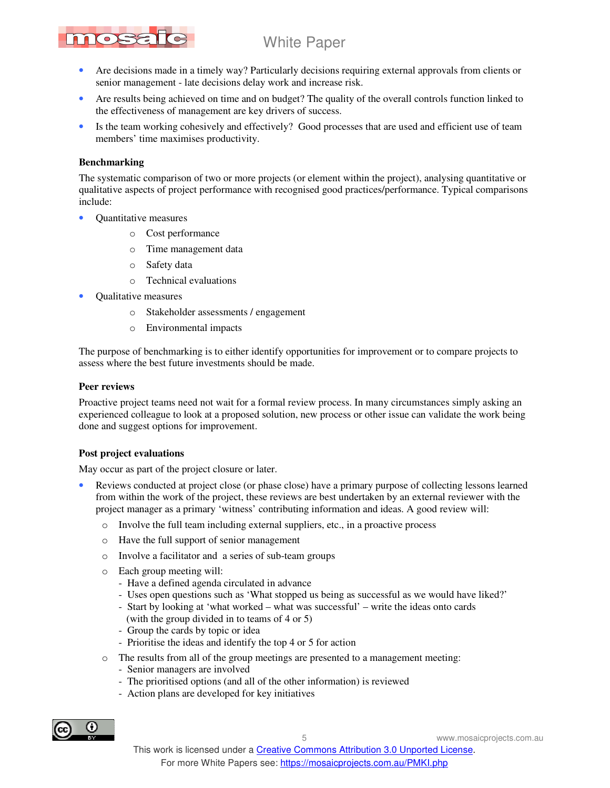# nosa

### White Paper

- Are decisions made in a timely way? Particularly decisions requiring external approvals from clients or senior management - late decisions delay work and increase risk.
- Are results being achieved on time and on budget? The quality of the overall controls function linked to the effectiveness of management are key drivers of success.
- Is the team working cohesively and effectively? Good processes that are used and efficient use of team members' time maximises productivity.

#### **Benchmarking**

The systematic comparison of two or more projects (or element within the project), analysing quantitative or qualitative aspects of project performance with recognised good practices/performance. Typical comparisons include:

- Quantitative measures
	- o Cost performance
	- o Time management data
	- o Safety data
	- o Technical evaluations
- Qualitative measures
	- o Stakeholder assessments / engagement
	- o Environmental impacts

The purpose of benchmarking is to either identify opportunities for improvement or to compare projects to assess where the best future investments should be made.

#### **Peer reviews**

Proactive project teams need not wait for a formal review process. In many circumstances simply asking an experienced colleague to look at a proposed solution, new process or other issue can validate the work being done and suggest options for improvement.

#### **Post project evaluations**

May occur as part of the project closure or later.

- Reviews conducted at project close (or phase close) have a primary purpose of collecting lessons learned from within the work of the project, these reviews are best undertaken by an external reviewer with the project manager as a primary 'witness' contributing information and ideas. A good review will:
	- o Involve the full team including external suppliers, etc., in a proactive process
	- o Have the full support of senior management
	- o Involve a facilitator and a series of sub-team groups
	- o Each group meeting will:
		- Have a defined agenda circulated in advance
		- Uses open questions such as 'What stopped us being as successful as we would have liked?'
		- Start by looking at 'what worked what was successful' write the ideas onto cards (with the group divided in to teams of 4 or 5)
		- Group the cards by topic or idea
		- Prioritise the ideas and identify the top 4 or 5 for action
	- o The results from all of the group meetings are presented to a management meeting:
		- Senior managers are involved
		- The prioritised options (and all of the other information) is reviewed
		- Action plans are developed for key initiatives

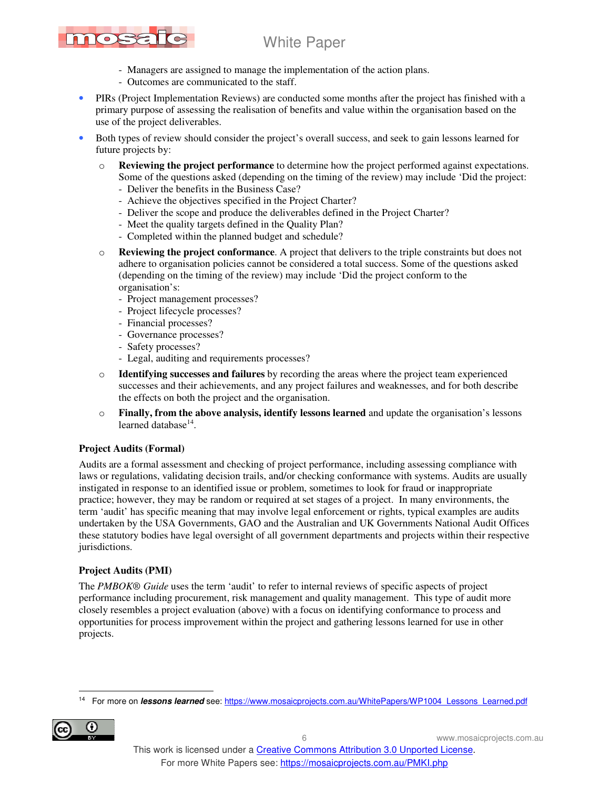# nos

## White Paper

- Managers are assigned to manage the implementation of the action plans.
- Outcomes are communicated to the staff.
- PIRs (Project Implementation Reviews) are conducted some months after the project has finished with a primary purpose of assessing the realisation of benefits and value within the organisation based on the use of the project deliverables.
- Both types of review should consider the project's overall success, and seek to gain lessons learned for future projects by:
	- o **Reviewing the project performance** to determine how the project performed against expectations. Some of the questions asked (depending on the timing of the review) may include 'Did the project:
		- Deliver the benefits in the Business Case?
		- Achieve the objectives specified in the Project Charter?
		- Deliver the scope and produce the deliverables defined in the Project Charter?
		- Meet the quality targets defined in the Quality Plan?
		- Completed within the planned budget and schedule?
	- o **Reviewing the project conformance**. A project that delivers to the triple constraints but does not adhere to organisation policies cannot be considered a total success. Some of the questions asked (depending on the timing of the review) may include 'Did the project conform to the organisation's:
		- Project management processes?
		- Project lifecycle processes?
		- Financial processes?
		- Governance processes?
		- Safety processes?
		- Legal, auditing and requirements processes?
	- o **Identifying successes and failures** by recording the areas where the project team experienced successes and their achievements, and any project failures and weaknesses, and for both describe the effects on both the project and the organisation.
	- o **Finally, from the above analysis, identify lessons learned** and update the organisation's lessons learned database<sup>14</sup>.

### **Project Audits (Formal)**

Audits are a formal assessment and checking of project performance, including assessing compliance with laws or regulations, validating decision trails, and/or checking conformance with systems. Audits are usually instigated in response to an identified issue or problem, sometimes to look for fraud or inappropriate practice; however, they may be random or required at set stages of a project. In many environments, the term 'audit' has specific meaning that may involve legal enforcement or rights, typical examples are audits undertaken by the USA Governments, GAO and the Australian and UK Governments National Audit Offices these statutory bodies have legal oversight of all government departments and projects within their respective jurisdictions.

### **Project Audits (PMI)**

The *PMBOK® Guide* uses the term 'audit' to refer to internal reviews of specific aspects of project performance including procurement, risk management and quality management. This type of audit more closely resembles a project evaluation (above) with a focus on identifying conformance to process and opportunities for process improvement within the project and gathering lessons learned for use in other projects.

 $\overline{a}$ 14 For more on **lessons learned** see: https://www.mosaicprojects.com.au/WhitePapers/WP1004\_Lessons\_Learned.pdf

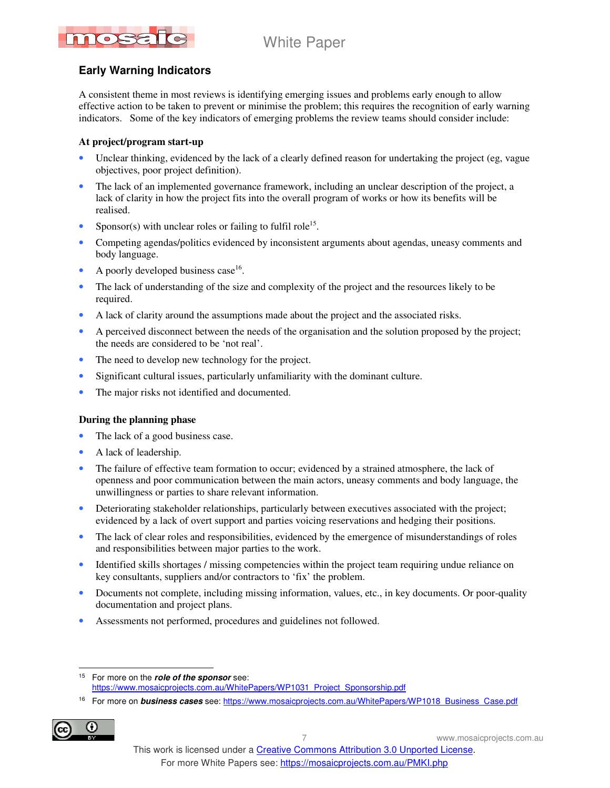# nossa

### White Paper

### **Early Warning Indicators**

A consistent theme in most reviews is identifying emerging issues and problems early enough to allow effective action to be taken to prevent or minimise the problem; this requires the recognition of early warning indicators. Some of the key indicators of emerging problems the review teams should consider include:

### **At project/program start-up**

- Unclear thinking, evidenced by the lack of a clearly defined reason for undertaking the project (eg, vague objectives, poor project definition).
- The lack of an implemented governance framework, including an unclear description of the project, a lack of clarity in how the project fits into the overall program of works or how its benefits will be realised.
- Sponsor(s) with unclear roles or failing to fulfil role<sup>15</sup>.
- Competing agendas/politics evidenced by inconsistent arguments about agendas, uneasy comments and body language.
- A poorly developed business case<sup>16</sup>.
- The lack of understanding of the size and complexity of the project and the resources likely to be required.
- A lack of clarity around the assumptions made about the project and the associated risks.
- A perceived disconnect between the needs of the organisation and the solution proposed by the project; the needs are considered to be 'not real'.
- The need to develop new technology for the project.
- Significant cultural issues, particularly unfamiliarity with the dominant culture.
- The major risks not identified and documented.

### **During the planning phase**

- The lack of a good business case.
- A lack of leadership.
- The failure of effective team formation to occur; evidenced by a strained atmosphere, the lack of openness and poor communication between the main actors, uneasy comments and body language, the unwillingness or parties to share relevant information.
- Deteriorating stakeholder relationships, particularly between executives associated with the project; evidenced by a lack of overt support and parties voicing reservations and hedging their positions.
- The lack of clear roles and responsibilities, evidenced by the emergence of misunderstandings of roles and responsibilities between major parties to the work.
- Identified skills shortages / missing competencies within the project team requiring undue reliance on key consultants, suppliers and/or contractors to 'fix' the problem.
- Documents not complete, including missing information, values, etc., in key documents. Or poor-quality documentation and project plans.
- Assessments not performed, procedures and guidelines not followed.

<sup>&</sup>lt;sup>16</sup> For more on **business cases** see: https://www.mosaicprojects.com.au/WhitePapers/WP1018\_Business\_Case.pdf



 $\ddot{\phantom{a}}$ <sup>15</sup> For more on the **role of the sponsor** see: https://www.mosaicprojects.com.au/WhitePapers/WP1031\_Project\_Sponsorship.pdf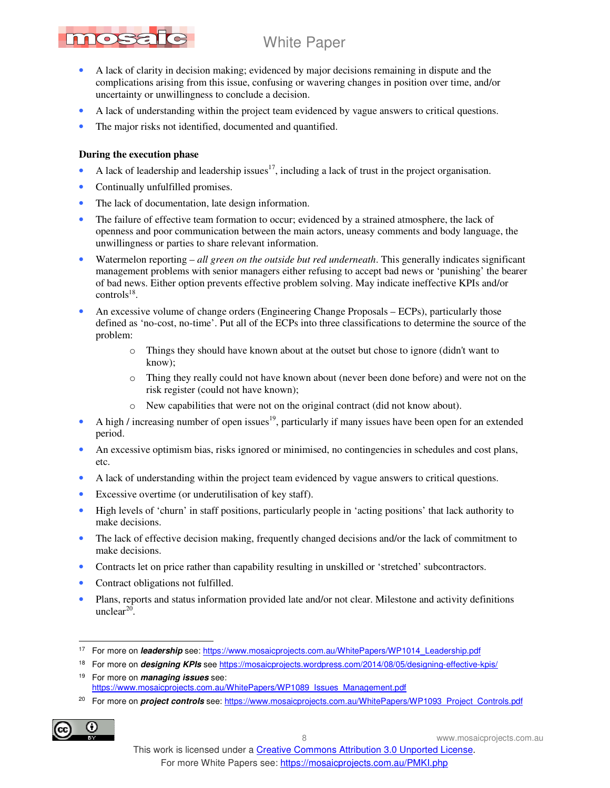

- A lack of clarity in decision making; evidenced by major decisions remaining in dispute and the complications arising from this issue, confusing or wavering changes in position over time, and/or uncertainty or unwillingness to conclude a decision.
- A lack of understanding within the project team evidenced by vague answers to critical questions.
- The major risks not identified, documented and quantified.

### **During the execution phase**

- A lack of leadership and leadership issues<sup>17</sup>, including a lack of trust in the project organisation.
- Continually unfulfilled promises.
- The lack of documentation, late design information.
- The failure of effective team formation to occur; evidenced by a strained atmosphere, the lack of openness and poor communication between the main actors, uneasy comments and body language, the unwillingness or parties to share relevant information.
- Watermelon reporting *all green on the outside but red underneath*. This generally indicates significant management problems with senior managers either refusing to accept bad news or 'punishing' the bearer of bad news. Either option prevents effective problem solving. May indicate ineffective KPIs and/or  $controls^{18}$ .
- An excessive volume of change orders (Engineering Change Proposals ECPs), particularly those defined as 'no-cost, no-time'. Put all of the ECPs into three classifications to determine the source of the problem:
	- o Things they should have known about at the outset but chose to ignore (didn't want to know);
	- o Thing they really could not have known about (never been done before) and were not on the risk register (could not have known);
	- o New capabilities that were not on the original contract (did not know about).
- A high / increasing number of open issues<sup>19</sup>, particularly if many issues have been open for an extended period.
- An excessive optimism bias, risks ignored or minimised, no contingencies in schedules and cost plans, etc.
- A lack of understanding within the project team evidenced by vague answers to critical questions.
- Excessive overtime (or underutilisation of key staff).
- High levels of 'churn' in staff positions, particularly people in 'acting positions' that lack authority to make decisions.
- The lack of effective decision making, frequently changed decisions and/or the lack of commitment to make decisions.
- Contracts let on price rather than capability resulting in unskilled or 'stretched' subcontractors.
- Contract obligations not fulfilled.
- Plans, reports and status information provided late and/or not clear. Milestone and activity definitions  $unclear<sup>20</sup>$ .

<sup>&</sup>lt;sup>20</sup> For more on *project controls* see: https://www.mosaicprojects.com.au/WhitePapers/WP1093\_Project\_Controls.pdf



 $\ddot{\phantom{a}}$ <sup>17</sup> For more on *leadership* see: https://www.mosaicprojects.com.au/WhitePapers/WP1014\_Leadership.pdf

<sup>18</sup> For more on **designing KPIs** see https://mosaicprojects.wordpress.com/2014/08/05/designing-effective-kpis/

<sup>19</sup> For more on **managing issues** see: https://www.mosaicprojects.com.au/WhitePapers/WP1089\_Issues\_Management.pdf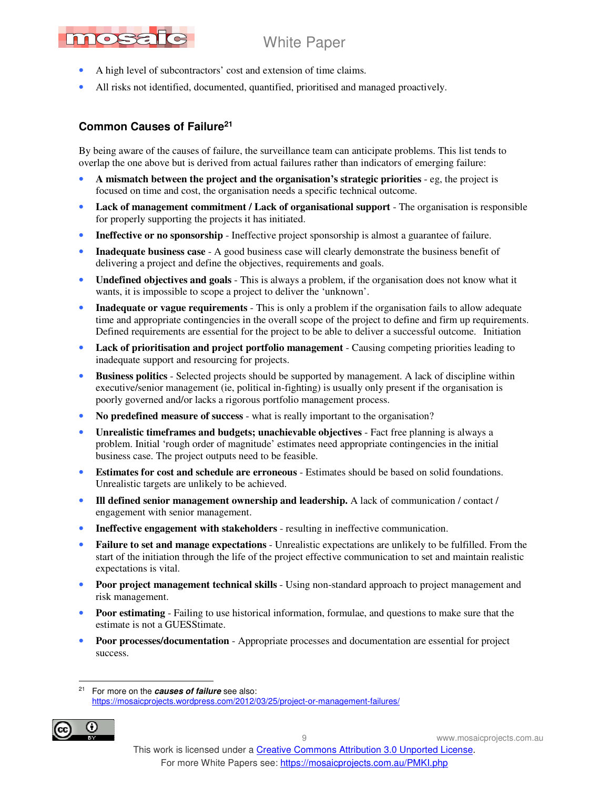# nosato

### White Paper

- A high level of subcontractors' cost and extension of time claims.
- All risks not identified, documented, quantified, prioritised and managed proactively.

### **Common Causes of Failure<sup>21</sup>**

By being aware of the causes of failure, the surveillance team can anticipate problems. This list tends to overlap the one above but is derived from actual failures rather than indicators of emerging failure:

- **A mismatch between the project and the organisation's strategic priorities** eg, the project is focused on time and cost, the organisation needs a specific technical outcome.
- Lack of management commitment / Lack of organisational support The organisation is responsible for properly supporting the projects it has initiated.
- **Ineffective or no sponsorship** Ineffective project sponsorship is almost a guarantee of failure.
- **Inadequate business case** A good business case will clearly demonstrate the business benefit of delivering a project and define the objectives, requirements and goals.
- **Undefined objectives and goals** This is always a problem, if the organisation does not know what it wants, it is impossible to scope a project to deliver the 'unknown'.
- **Inadequate or vague requirements** This is only a problem if the organisation fails to allow adequate time and appropriate contingencies in the overall scope of the project to define and firm up requirements. Defined requirements are essential for the project to be able to deliver a successful outcome. Initiation
- Lack of prioritisation and project portfolio management Causing competing priorities leading to inadequate support and resourcing for projects.
- **Business politics** Selected projects should be supported by management. A lack of discipline within executive/senior management (ie, political in-fighting) is usually only present if the organisation is poorly governed and/or lacks a rigorous portfolio management process.
- **No predefined measure of success** what is really important to the organisation?
- **Unrealistic timeframes and budgets; unachievable objectives** Fact free planning is always a problem. Initial 'rough order of magnitude' estimates need appropriate contingencies in the initial business case. The project outputs need to be feasible.
- **Estimates for cost and schedule are erroneous** Estimates should be based on solid foundations. Unrealistic targets are unlikely to be achieved.
- **Ill defined senior management ownership and leadership.** A lack of communication / contact / engagement with senior management.
- **Ineffective engagement with stakeholders** resulting in ineffective communication.
- **Failure to set and manage expectations** Unrealistic expectations are unlikely to be fulfilled. From the start of the initiation through the life of the project effective communication to set and maintain realistic expectations is vital.
- **Poor project management technical skills** Using non-standard approach to project management and risk management.
- **Poor estimating** Failing to use historical information, formulae, and questions to make sure that the estimate is not a GUESStimate.
- **Poor processes/documentation** Appropriate processes and documentation are essential for project success.

 $21$ For more on the **causes of failure** see also: https://mosaicprojects.wordpress.com/2012/03/25/project-or-management-failures/

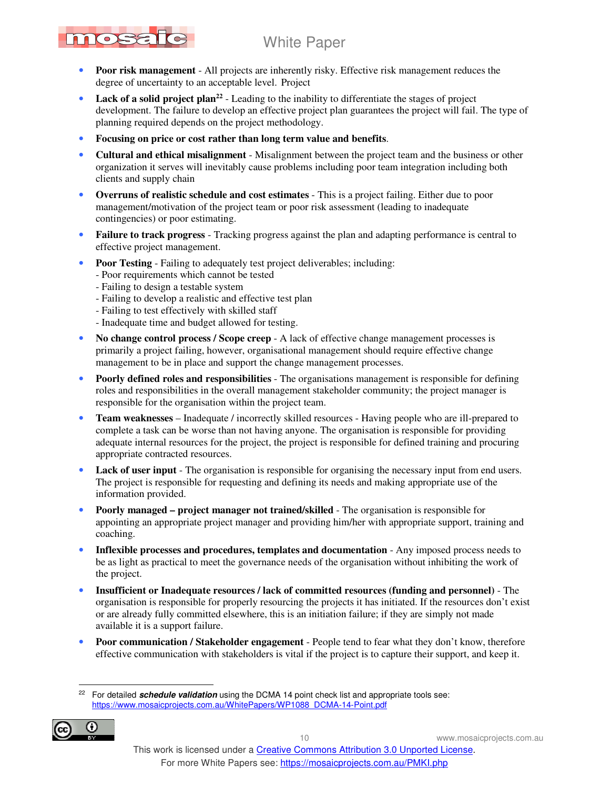- nosato
	- **Poor risk management** All projects are inherently risky. Effective risk management reduces the degree of uncertainty to an acceptable level. Project
	- Lack of a solid project plan<sup>22</sup> Leading to the inability to differentiate the stages of project development. The failure to develop an effective project plan guarantees the project will fail. The type of planning required depends on the project methodology.
	- **Focusing on price or cost rather than long term value and benefits**.
	- **Cultural and ethical misalignment** Misalignment between the project team and the business or other organization it serves will inevitably cause problems including poor team integration including both clients and supply chain
	- **Overruns of realistic schedule and cost estimates** This is a project failing. Either due to poor management/motivation of the project team or poor risk assessment (leading to inadequate contingencies) or poor estimating.
	- **Failure to track progress** Tracking progress against the plan and adapting performance is central to effective project management.
	- **Poor Testing** Failing to adequately test project deliverables; including:
		- Poor requirements which cannot be tested
		- Failing to design a testable system
		- Failing to develop a realistic and effective test plan
		- Failing to test effectively with skilled staff
		- Inadequate time and budget allowed for testing.
	- **No change control process / Scope creep** A lack of effective change management processes is primarily a project failing, however, organisational management should require effective change management to be in place and support the change management processes.
	- **Poorly defined roles and responsibilities** The organisations management is responsible for defining roles and responsibilities in the overall management stakeholder community; the project manager is responsible for the organisation within the project team.
	- **Team weaknesses** Inadequate / incorrectly skilled resources Having people who are ill-prepared to complete a task can be worse than not having anyone. The organisation is responsible for providing adequate internal resources for the project, the project is responsible for defined training and procuring appropriate contracted resources.
	- **Lack of user input** The organisation is responsible for organising the necessary input from end users. The project is responsible for requesting and defining its needs and making appropriate use of the information provided.
	- **Poorly managed project manager not trained/skilled** The organisation is responsible for appointing an appropriate project manager and providing him/her with appropriate support, training and coaching.
	- **Inflexible processes and procedures, templates and documentation** Any imposed process needs to be as light as practical to meet the governance needs of the organisation without inhibiting the work of the project.
	- **Insufficient or Inadequate resources / lack of committed resources (funding and personnel)** The organisation is responsible for properly resourcing the projects it has initiated. If the resources don't exist or are already fully committed elsewhere, this is an initiation failure; if they are simply not made available it is a support failure.
	- **Poor communication / Stakeholder engagement** People tend to fear what they don't know, therefore effective communication with stakeholders is vital if the project is to capture their support, and keep it.

 $\overline{a}$ For detailed **schedule validation** using the DCMA 14 point check list and appropriate tools see: https://www.mosaicprojects.com.au/WhitePapers/WP1088\_DCMA-14-Point.pdf

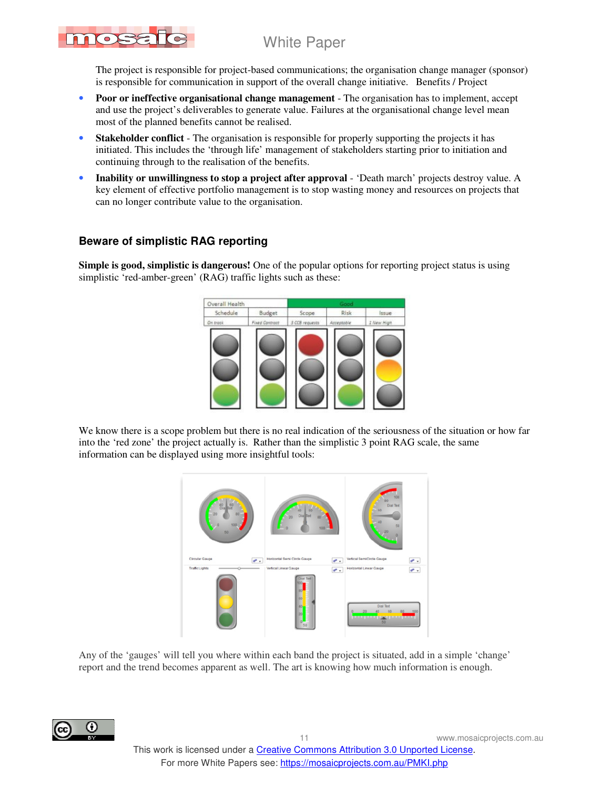The project is responsible for project-based communications; the organisation change manager (sponsor) is responsible for communication in support of the overall change initiative. Benefits / Project

- **Poor or ineffective organisational change management** The organisation has to implement, accept and use the project's deliverables to generate value. Failures at the organisational change level mean most of the planned benefits cannot be realised.
- **Stakeholder conflict** The organisation is responsible for properly supporting the projects it has initiated. This includes the 'through life' management of stakeholders starting prior to initiation and continuing through to the realisation of the benefits.
- **Inability or unwillingness to stop a project after approval** 'Death march' projects destroy value. A key element of effective portfolio management is to stop wasting money and resources on projects that can no longer contribute value to the organisation.

### **Beware of simplistic RAG reporting**

nos

**Simple is good, simplistic is dangerous!** One of the popular options for reporting project status is using simplistic 'red-amber-green' (RAG) traffic lights such as these:



We know there is a scope problem but there is no real indication of the seriousness of the situation or how far into the 'red zone' the project actually is. Rather than the simplistic 3 point RAG scale, the same information can be displayed using more insightful tools:



Any of the 'gauges' will tell you where within each band the project is situated, add in a simple 'change' report and the trend becomes apparent as well. The art is knowing how much information is enough.